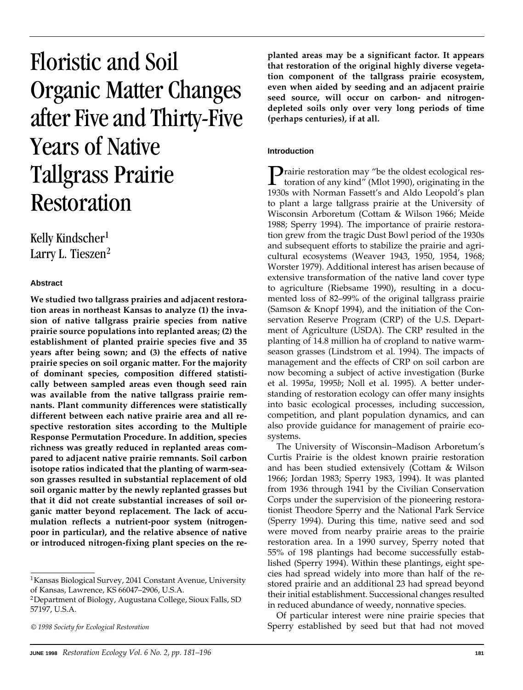# Floristic and Soil Organic Matter Changes after Five and Thirty-Five Years of Native Tallgrass Prairie Restoration

# Kelly Kindscher<sup>1</sup> Larry L. Tieszen<sup>2</sup>

# **Abstract**

**We studied two tallgrass prairies and adjacent restoration areas in northeast Kansas to analyze (1) the invasion of native tallgrass prairie species from native prairie source populations into replanted areas; (2) the establishment of planted prairie species five and 35 years after being sown; and (3) the effects of native prairie species on soil organic matter. For the majority of dominant species, composition differed statistically between sampled areas even though seed rain was available from the native tallgrass prairie remnants. Plant community differences were statistically different between each native prairie area and all respective restoration sites according to the Multiple Response Permutation Procedure. In addition, species richness was greatly reduced in replanted areas compared to adjacent native prairie remnants. Soil carbon isotope ratios indicated that the planting of warm-season grasses resulted in substantial replacement of old soil organic matter by the newly replanted grasses but that it did not create substantial increases of soil organic matter beyond replacement. The lack of accumulation reflects a nutrient-poor system (nitrogenpoor in particular), and the relative absence of native or introduced nitrogen-fixing plant species on the re-**

1Kansas Biological Survey, 2041 Constant Avenue, University of Kansas, Lawrence, KS 66047–2906, U.S.A.

**planted areas may be a significant factor. It appears that restoration of the original highly diverse vegetation component of the tallgrass prairie ecosystem, even when aided by seeding and an adjacent prairie seed source, will occur on carbon- and nitrogendepleted soils only over very long periods of time (perhaps centuries), if at all.**

# **Introduction**

**P**rairie restoration may "be the oldest ecological restoration of any kind" (Mlot 1990), originating in the 1020 with Marman Ecception and Alde Leonald's plan 1930s with Norman Fassett's and Aldo Leopold's plan to plant a large tallgrass prairie at the University of Wisconsin Arboretum (Cottam & Wilson 1966; Meide 1988; Sperry 1994). The importance of prairie restoration grew from the tragic Dust Bowl period of the 1930s and subsequent efforts to stabilize the prairie and agricultural ecosystems (Weaver 1943, 1950, 1954, 1968; Worster 1979). Additional interest has arisen because of extensive transformation of the native land cover type to agriculture (Riebsame 1990), resulting in a documented loss of 82–99% of the original tallgrass prairie (Samson & Knopf 1994), and the initiation of the Conservation Reserve Program (CRP) of the U.S. Department of Agriculture (USDA). The CRP resulted in the planting of 14.8 million ha of cropland to native warmseason grasses (Lindstrom et al. 1994). The impacts of management and the effects of CRP on soil carbon are now becoming a subject of active investigation (Burke et al. 1995*a*, 1995*b*; Noll et al. 1995). A better understanding of restoration ecology can offer many insights into basic ecological processes, including succession, competition, and plant population dynamics, and can also provide guidance for management of prairie ecosystems.

The University of Wisconsin–Madison Arboretum's Curtis Prairie is the oldest known prairie restoration and has been studied extensively (Cottam & Wilson 1966; Jordan 1983; Sperry 1983, 1994). It was planted from 1936 through 1941 by the Civilian Conservation Corps under the supervision of the pioneering restorationist Theodore Sperry and the National Park Service (Sperry 1994). During this time, native seed and sod were moved from nearby prairie areas to the prairie restoration area. In a 1990 survey, Sperry noted that 55% of 198 plantings had become successfully established (Sperry 1994). Within these plantings, eight species had spread widely into more than half of the restored prairie and an additional 23 had spread beyond their initial establishment. Successional changes resulted in reduced abundance of weedy, nonnative species.

Of particular interest were nine prairie species that Sperry established by seed but that had not moved

<sup>2</sup>Department of Biology, Augustana College, Sioux Falls, SD 57197, U.S.A.

<sup>©</sup> *1998 Society for Ecological Restoration*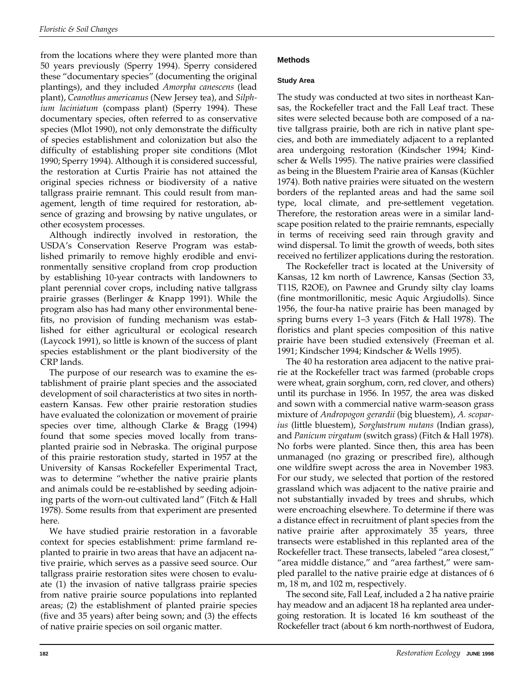from the locations where they were planted more than 50 years previously (Sperry 1994). Sperry considered these "documentary species" (documenting the original plantings), and they included *Amorpha canescens* (lead plant), *Ceanothus americanus* (New Jersey tea), and *Silphium laciniatum* (compass plant) (Sperry 1994). These documentary species, often referred to as conservative species (Mlot 1990), not only demonstrate the difficulty of species establishment and colonization but also the difficulty of establishing proper site conditions (Mlot 1990; Sperry 1994). Although it is considered successful, the restoration at Curtis Prairie has not attained the original species richness or biodiversity of a native tallgrass prairie remnant. This could result from management, length of time required for restoration, absence of grazing and browsing by native ungulates, or other ecosystem processes.

Although indirectly involved in restoration, the USDA's Conservation Reserve Program was established primarily to remove highly erodible and environmentally sensitive cropland from crop production by establishing 10-year contracts with landowners to plant perennial cover crops, including native tallgrass prairie grasses (Berlinger & Knapp 1991). While the program also has had many other environmental benefits, no provision of funding mechanism was established for either agricultural or ecological research (Laycock 1991), so little is known of the success of plant species establishment or the plant biodiversity of the CRP lands.

The purpose of our research was to examine the establishment of prairie plant species and the associated development of soil characteristics at two sites in northeastern Kansas. Few other prairie restoration studies have evaluated the colonization or movement of prairie species over time, although Clarke & Bragg (1994) found that some species moved locally from transplanted prairie sod in Nebraska. The original purpose of this prairie restoration study, started in 1957 at the University of Kansas Rockefeller Experimental Tract, was to determine "whether the native prairie plants and animals could be re-established by seeding adjoining parts of the worn-out cultivated land" (Fitch & Hall 1978). Some results from that experiment are presented here.

We have studied prairie restoration in a favorable context for species establishment: prime farmland replanted to prairie in two areas that have an adjacent native prairie, which serves as a passive seed source. Our tallgrass prairie restoration sites were chosen to evaluate (1) the invasion of native tallgrass prairie species from native prairie source populations into replanted areas; (2) the establishment of planted prairie species (five and 35 years) after being sown; and (3) the effects of native prairie species on soil organic matter.

# **Methods**

# **Study Area**

The study was conducted at two sites in northeast Kansas, the Rockefeller tract and the Fall Leaf tract. These sites were selected because both are composed of a native tallgrass prairie, both are rich in native plant species, and both are immediately adjacent to a replanted area undergoing restoration (Kindscher 1994; Kindscher & Wells 1995). The native prairies were classified as being in the Bluestem Prairie area of Kansas (Küchler 1974). Both native prairies were situated on the western borders of the replanted areas and had the same soil type, local climate, and pre-settlement vegetation. Therefore, the restoration areas were in a similar landscape position related to the prairie remnants, especially in terms of receiving seed rain through gravity and wind dispersal. To limit the growth of weeds, both sites received no fertilizer applications during the restoration.

The Rockefeller tract is located at the University of Kansas, 12 km north of Lawrence, Kansas (Section 33, T11S, R2OE), on Pawnee and Grundy silty clay loams (fine montmorillonitic, mesic Aquic Argiudolls). Since 1956, the four-ha native prairie has been managed by spring burns every 1–3 years (Fitch & Hall 1978). The floristics and plant species composition of this native prairie have been studied extensively (Freeman et al. 1991; Kindscher 1994; Kindscher & Wells 1995).

The 40 ha restoration area adjacent to the native prairie at the Rockefeller tract was farmed (probable crops were wheat, grain sorghum, corn, red clover, and others) until its purchase in 1956. In 1957, the area was disked and sown with a commercial native warm-season grass mixture of *Andropogon gerardii* (big bluestem), *A. scoparius* (little bluestem), *Sorghastrum nutans* (Indian grass), and *Panicum virgatum* (switch grass) (Fitch & Hall 1978). No forbs were planted. Since then, this area has been unmanaged (no grazing or prescribed fire), although one wildfire swept across the area in November 1983. For our study, we selected that portion of the restored grassland which was adjacent to the native prairie and not substantially invaded by trees and shrubs, which were encroaching elsewhere. To determine if there was a distance effect in recruitment of plant species from the native prairie after approximately 35 years, three transects were established in this replanted area of the Rockefeller tract. These transects, labeled "area closest," "area middle distance," and "area farthest," were sampled parallel to the native prairie edge at distances of 6 m, 18 m, and 102 m, respectively.

The second site, Fall Leaf, included a 2 ha native prairie hay meadow and an adjacent 18 ha replanted area undergoing restoration. It is located 16 km southeast of the Rockefeller tract (about 6 km north-northwest of Eudora,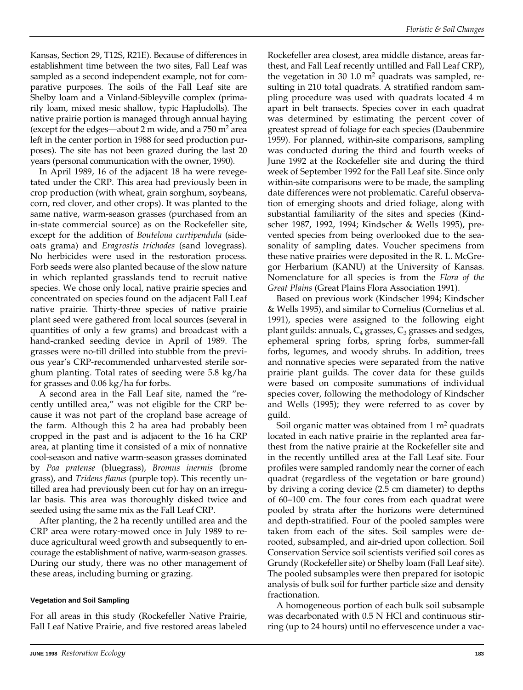Kansas, Section 29, T12S, R21E). Because of differences in establishment time between the two sites, Fall Leaf was sampled as a second independent example, not for comparative purposes. The soils of the Fall Leaf site are Shelby loam and a Vinland-Sibleyville complex (primarily loam, mixed mesic shallow, typic Hapludolls). The native prairie portion is managed through annual haying (except for the edges—about 2 m wide, and a  $750 \text{ m}^2$  area left in the center portion in 1988 for seed production purposes). The site has not been grazed during the last 20 years (personal communication with the owner, 1990).

In April 1989, 16 of the adjacent 18 ha were revegetated under the CRP. This area had previously been in crop production (with wheat, grain sorghum, soybeans, corn, red clover, and other crops). It was planted to the same native, warm-season grasses (purchased from an in-state commercial source) as on the Rockefeller site, except for the addition of *Bouteloua curtipendula* (sideoats grama) and *Eragrostis trichodes* (sand lovegrass). No herbicides were used in the restoration process. Forb seeds were also planted because of the slow nature in which replanted grasslands tend to recruit native species. We chose only local, native prairie species and concentrated on species found on the adjacent Fall Leaf native prairie. Thirty-three species of native prairie plant seed were gathered from local sources (several in quantities of only a few grams) and broadcast with a hand-cranked seeding device in April of 1989. The grasses were no-till drilled into stubble from the previous year's CRP-recommended unharvested sterile sorghum planting. Total rates of seeding were 5.8 kg/ha for grasses and 0.06 kg/ha for forbs.

A second area in the Fall Leaf site, named the "recently untilled area," was not eligible for the CRP because it was not part of the cropland base acreage of the farm. Although this 2 ha area had probably been cropped in the past and is adjacent to the 16 ha CRP area, at planting time it consisted of a mix of nonnative cool-season and native warm-season grasses dominated by *Poa pratense* (bluegrass), *Bromus inermis* (brome grass), and *Tridens flavus* (purple top). This recently untilled area had previously been cut for hay on an irregular basis. This area was thoroughly disked twice and seeded using the same mix as the Fall Leaf CRP.

After planting, the 2 ha recently untilled area and the CRP area were rotary-mowed once in July 1989 to reduce agricultural weed growth and subsequently to encourage the establishment of native, warm-season grasses. During our study, there was no other management of these areas, including burning or grazing.

#### **Vegetation and Soil Sampling**

For all areas in this study (Rockefeller Native Prairie, Fall Leaf Native Prairie, and five restored areas labeled Rockefeller area closest, area middle distance, areas farthest, and Fall Leaf recently untilled and Fall Leaf CRP), the vegetation in 30 1.0  $m<sup>2</sup>$  quadrats was sampled, resulting in 210 total quadrats. A stratified random sampling procedure was used with quadrats located 4 m apart in belt transects. Species cover in each quadrat was determined by estimating the percent cover of greatest spread of foliage for each species (Daubenmire 1959). For planned, within-site comparisons, sampling was conducted during the third and fourth weeks of June 1992 at the Rockefeller site and during the third week of September 1992 for the Fall Leaf site. Since only within-site comparisons were to be made, the sampling date differences were not problematic. Careful observation of emerging shoots and dried foliage, along with substantial familiarity of the sites and species (Kindscher 1987, 1992, 1994; Kindscher & Wells 1995), prevented species from being overlooked due to the seasonality of sampling dates. Voucher specimens from these native prairies were deposited in the R. L. McGregor Herbarium (KANU) at the University of Kansas. Nomenclature for all species is from the *Flora of the Great Plains* (Great Plains Flora Association 1991).

Based on previous work (Kindscher 1994; Kindscher & Wells 1995), and similar to Cornelius (Cornelius et al. 1991), species were assigned to the following eight plant guilds: annuals,  $C_4$  grasses,  $C_3$  grasses and sedges, ephemeral spring forbs, spring forbs, summer-fall forbs, legumes, and woody shrubs. In addition, trees and nonnative species were separated from the native prairie plant guilds. The cover data for these guilds were based on composite summations of individual species cover, following the methodology of Kindscher and Wells (1995); they were referred to as cover by guild.

Soil organic matter was obtained from  $1 \text{ m}^2$  quadrats located in each native prairie in the replanted area farthest from the native prairie at the Rockefeller site and in the recently untilled area at the Fall Leaf site. Four profiles were sampled randomly near the corner of each quadrat (regardless of the vegetation or bare ground) by driving a coring device (2.5 cm diameter) to depths of 60–100 cm. The four cores from each quadrat were pooled by strata after the horizons were determined and depth-stratified. Four of the pooled samples were taken from each of the sites. Soil samples were derooted, subsampled, and air-dried upon collection. Soil Conservation Service soil scientists verified soil cores as Grundy (Rockefeller site) or Shelby loam (Fall Leaf site). The pooled subsamples were then prepared for isotopic analysis of bulk soil for further particle size and density fractionation.

A homogeneous portion of each bulk soil subsample was decarbonated with 0.5 N HCl and continuous stirring (up to 24 hours) until no effervescence under a vac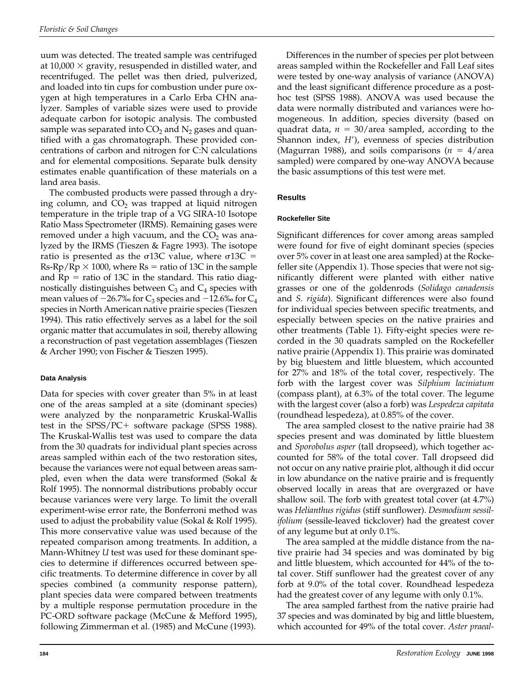uum was detected. The treated sample was centrifuged at 10,000  $\times$  gravity, resuspended in distilled water, and recentrifuged. The pellet was then dried, pulverized, and loaded into tin cups for combustion under pure oxygen at high temperatures in a Carlo Erba CHN analyzer. Samples of variable sizes were used to provide adequate carbon for isotopic analysis. The combusted sample was separated into  $CO<sub>2</sub>$  and  $N<sub>2</sub>$  gases and quantified with a gas chromatograph. These provided concentrations of carbon and nitrogen for C:N calculations and for elemental compositions. Separate bulk density estimates enable quantification of these materials on a land area basis.

The combusted products were passed through a drying column, and  $CO<sub>2</sub>$  was trapped at liquid nitrogen temperature in the triple trap of a VG SIRA-10 Isotope Ratio Mass Spectrometer (IRMS). Remaining gases were removed under a high vacuum, and the  $CO<sub>2</sub>$  was analyzed by the IRMS (Tieszen & Fagre 1993). The isotope ratio is presented as the  $\sigma$ 13C value, where  $\sigma$ 13C = Rs-Rp/Rp  $\times$  1000, where Rs = ratio of 13C in the sample and  $Rp =$  ratio of 13C in the standard. This ratio diagnostically distinguishes between  $C_3$  and  $C_4$  species with mean values of  $-26.7%$  for  $C_3$  species and  $-12.6%$  for  $C_4$ species in North American native prairie species (Tieszen 1994). This ratio effectively serves as a label for the soil organic matter that accumulates in soil, thereby allowing a reconstruction of past vegetation assemblages (Tieszen & Archer 1990; von Fischer & Tieszen 1995).

# **Data Analysis**

Data for species with cover greater than 5% in at least one of the areas sampled at a site (dominant species) were analyzed by the nonparametric Kruskal-Wallis test in the  $SPSS/PC+$  software package (SPSS 1988). The Kruskal-Wallis test was used to compare the data from the 30 quadrats for individual plant species across areas sampled within each of the two restoration sites, because the variances were not equal between areas sampled, even when the data were transformed (Sokal & Rolf 1995). The nonnormal distributions probably occur because variances were very large. To limit the overall experiment-wise error rate, the Bonferroni method was used to adjust the probability value (Sokal & Rolf 1995). This more conservative value was used because of the repeated comparison among treatments. In addition, a Mann-Whitney *U* test was used for these dominant species to determine if differences occurred between specific treatments. To determine difference in cover by all species combined (a community response pattern), plant species data were compared between treatments by a multiple response permutation procedure in the PC-ORD software package (McCune & Mefford 1995), following Zimmerman et al. (1985) and McCune (1993).

Differences in the number of species per plot between areas sampled within the Rockefeller and Fall Leaf sites were tested by one-way analysis of variance (ANOVA) and the least significant difference procedure as a posthoc test (SPSS 1988). ANOVA was used because the data were normally distributed and variances were homogeneous. In addition, species diversity (based on quadrat data,  $n = 30/$ area sampled, according to the Shannon index, *H'*), evenness of species distribution (Magurran 1988), and soils comparisons  $(n = 4/\text{area})$ sampled) were compared by one-way ANOVA because the basic assumptions of this test were met.

# **Results**

# **Rockefeller Site**

Significant differences for cover among areas sampled were found for five of eight dominant species (species over 5% cover in at least one area sampled) at the Rockefeller site (Appendix 1). Those species that were not significantly different were planted with either native grasses or one of the goldenrods (*Solidago canadensis* and *S. rigida*). Significant differences were also found for individual species between specific treatments, and especially between species on the native prairies and other treatments (Table 1). Fifty-eight species were recorded in the 30 quadrats sampled on the Rockefeller native prairie (Appendix 1). This prairie was dominated by big bluestem and little bluestem, which accounted for 27% and 18% of the total cover, respectively. The forb with the largest cover was *Silphium laciniatum* (compass plant), at 6.3% of the total cover. The legume with the largest cover (also a forb) was *Lespedeza capitata* (roundhead lespedeza), at 0.85% of the cover.

The area sampled closest to the native prairie had 38 species present and was dominated by little bluestem and *Sporobolus asper* (tall dropseed), which together accounted for 58% of the total cover. Tall dropseed did not occur on any native prairie plot, although it did occur in low abundance on the native prairie and is frequently observed locally in areas that are overgrazed or have shallow soil. The forb with greatest total cover (at 4.7%) was *Helianthus rigidus* (stiff sunflower). *Desmodium sessilifolium* (sessile-leaved tickclover) had the greatest cover of any legume but at only 0.1%.

The area sampled at the middle distance from the native prairie had 34 species and was dominated by big and little bluestem, which accounted for 44% of the total cover. Stiff sunflower had the greatest cover of any forb at 9.0% of the total cover. Roundhead lespedeza had the greatest cover of any legume with only 0.1%.

The area sampled farthest from the native prairie had 37 species and was dominated by big and little bluestem, which accounted for 49% of the total cover. *Aster praeal-*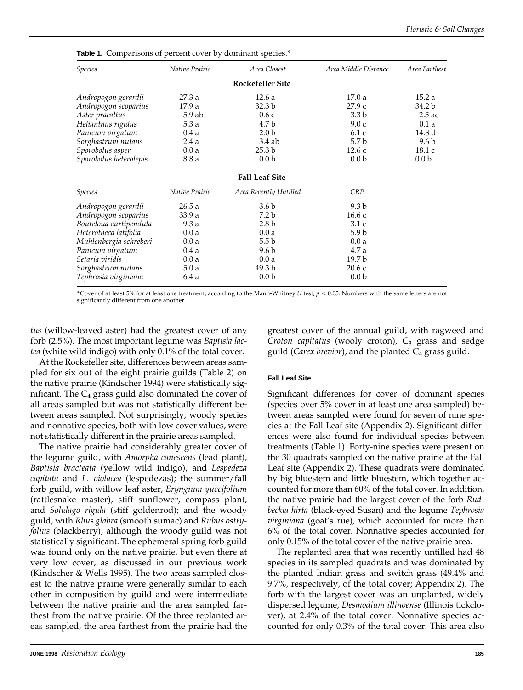| <b>Species</b>         | Native Prairie | Area Closest            | Area Middle Distance | Area Farthest    |
|------------------------|----------------|-------------------------|----------------------|------------------|
|                        |                | <b>Rockefeller Site</b> |                      |                  |
| Andropogon gerardii    | 27.3 a         | 12.6a                   | 17.0a                | 15.2a            |
| Andropogon scoparius   | 17.9 a         | 32.3 b                  | 27.9c                | 34.2 b           |
| Aster praealtus        | $5.9$ ab       | 0.6c                    | 3.3 <sub>b</sub>     | $2.5$ ac         |
| Helianthus rigidus     | 5.3a           | 4.7 b                   | 9.0c                 | 0.1a             |
| Panicum virgatum       | 0.4a           | 2.0 <sub>b</sub>        | 6.1c                 | 14.8 d           |
| Sorghastrum nutans     | 2.4a           | $3.4$ ab                | 5.7 <sub>b</sub>     | 9.6 b            |
| Sporobolus asper       | 0.0a           | 25.3 <sub>b</sub>       | 12.6c                | 18.1 c           |
| Sporobolus heterolepis | 8.8 a          | 0.0 <sub>b</sub>        | 0.0 <sub>b</sub>     | 0.0 <sub>b</sub> |
|                        |                | <b>Fall Leaf Site</b>   |                      |                  |
| <i>Species</i>         | Native Prairie | Area Recently Untilled  | <b>CRP</b>           |                  |
| Andropogon gerardii    | 26.5a          | 3.6 <sub>b</sub>        | 9.3 <sub>b</sub>     |                  |
| Andropogon scoparius   | 33.9a          | 7.2 <sub>b</sub>        | 16.6 с               |                  |
| Bouteloua curtipendula | 9.3a           | 2.8 <sub>b</sub>        | 3.1c                 |                  |
| Heterotheca latifolia  | 0.0a           | 0.0a                    | 5.9 <sub>b</sub>     |                  |
| Muhlenbergia schreberi | 0.0a           | 5.5 <sub>b</sub>        | 0.0a                 |                  |
| Panicum virgatum       | 0.4a           | 9.6 b                   | 4.7 a                |                  |
| Setaria viridis        | 0.0a           | 0.0a                    | 19.7 b               |                  |
| Sorghastrum nutans     | 5.0a           | 49.3 b                  | 20.6c                |                  |
| Tephrosia virginiana   | 6.4a           | 0.0 <sub>b</sub>        | 0.0 <sub>b</sub>     |                  |

**Table 1.** Comparisons of percent cover by dominant species.<sup>\*</sup>

\*Cover of at least 5% for at least one treatment, according to the Mann-Whitney *U* test,  $p < 0.05$ . Numbers with the same letters are not significantly different from one another.

*tus* (willow-leaved aster) had the greatest cover of any forb (2.5%). The most important legume was *Baptisia lactea* (white wild indigo) with only 0.1% of the total cover.

At the Rockefeller site, differences between areas sampled for six out of the eight prairie guilds (Table 2) on the native prairie (Kindscher 1994) were statistically significant. The  $C_4$  grass guild also dominated the cover of all areas sampled but was not statistically different between areas sampled. Not surprisingly, woody species and nonnative species, both with low cover values, were not statistically different in the prairie areas sampled.

The native prairie had considerably greater cover of the legume guild, with *Amorpha canescens* (lead plant), *Baptisia bracteata* (yellow wild indigo), and *Lespedeza capitata* and *L. violacea* (lespedezas); the summer/fall forb guild, with willow leaf aster, *Eryngium yuccifolium* (rattlesnake master), stiff sunflower, compass plant, and *Solidago rigida* (stiff goldenrod); and the woody guild, with *Rhus glabra* (smooth sumac) and *Rubus ostryfolius* (blackberry), although the woody guild was not statistically significant. The ephemeral spring forb guild was found only on the native prairie, but even there at very low cover, as discussed in our previous work (Kindscher & Wells 1995). The two areas sampled closest to the native prairie were generally similar to each other in composition by guild and were intermediate between the native prairie and the area sampled farthest from the native prairie. Of the three replanted areas sampled, the area farthest from the prairie had the

greatest cover of the annual guild, with ragweed and *Croton capitatus* (wooly croton),  $C_3$  grass and sedge guild (*Carex brevior*), and the planted C<sub>4</sub> grass guild.

#### **Fall Leaf Site**

Significant differences for cover of dominant species (species over 5% cover in at least one area sampled) between areas sampled were found for seven of nine species at the Fall Leaf site (Appendix 2). Significant differences were also found for individual species between treatments (Table 1). Forty-nine species were present on the 30 quadrats sampled on the native prairie at the Fall Leaf site (Appendix 2). These quadrats were dominated by big bluestem and little bluestem, which together accounted for more than 60% of the total cover. In addition, the native prairie had the largest cover of the forb *Rudbeckia hirta* (black-eyed Susan) and the legume *Tephrosia virginiana* (goat's rue), which accounted for more than 6% of the total cover. Nonnative species accounted for only 0.15% of the total cover of the native prairie area.

The replanted area that was recently untilled had 48 species in its sampled quadrats and was dominated by the planted Indian grass and switch grass (49.4% and 9.7%, respectively, of the total cover; Appendix 2). The forb with the largest cover was an unplanted, widely dispersed legume, *Desmodium illinoense* (Illinois tickclover), at 2.4% of the total cover. Nonnative species accounted for only 0.3% of the total cover. This area also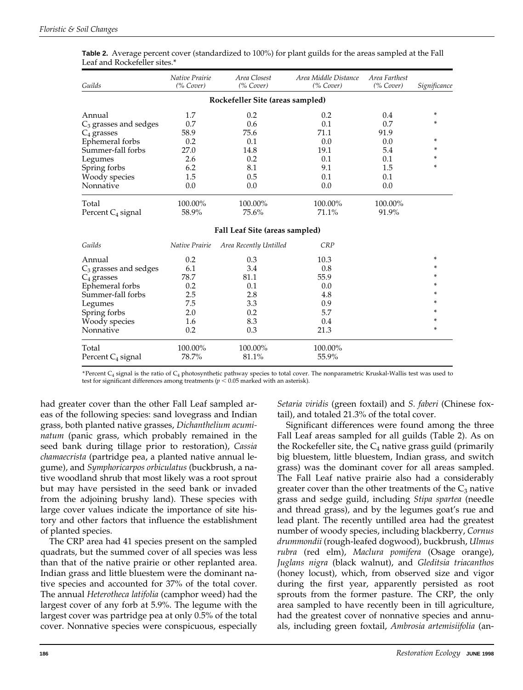| Guilds                           | Native Prairie<br>(% Cover) | Area Closest<br>(% Cover)      | Area Middle Distance<br>(% Cover) | Area Farthest<br>(% Cover) | Significance |  |  |  |
|----------------------------------|-----------------------------|--------------------------------|-----------------------------------|----------------------------|--------------|--|--|--|
| Rockefeller Site (areas sampled) |                             |                                |                                   |                            |              |  |  |  |
| Annual                           | 1.7                         | 0.2                            | 0.2                               | 0.4                        | *            |  |  |  |
| $C_3$ grasses and sedges         | 0.7                         | 0.6                            | 0.1                               | 0.7                        | *            |  |  |  |
| $C_4$ grasses                    | 58.9                        | 75.6                           | 71.1                              | 91.9                       |              |  |  |  |
| Ephemeral forbs                  | 0.2                         | 0.1                            | 0.0                               | 0.0                        | *            |  |  |  |
| Summer-fall forbs                | 27.0                        | 14.8                           | 19.1                              | 5.4                        | *            |  |  |  |
| Legumes                          | 2.6                         | 0.2                            | 0.1                               | 0.1                        | *            |  |  |  |
| Spring forbs                     | 6.2                         | 8.1                            | 9.1                               | 1.5                        | *            |  |  |  |
| Woody species                    | 1.5                         | 0.5                            | 0.1                               | 0.1                        |              |  |  |  |
| Nonnative                        | 0.0                         | 0.0                            | 0.0                               | 0.0                        |              |  |  |  |
| Total                            | 100.00%                     | 100.00%                        | 100.00%                           | 100.00%                    |              |  |  |  |
| Percent C <sub>4</sub> signal    | 58.9%                       | 75.6%                          | 71.1%                             | 91.9%                      |              |  |  |  |
|                                  |                             | Fall Leaf Site (areas sampled) |                                   |                            |              |  |  |  |
| Guilds                           | Native Prairie              | Area Recently Untilled         | CRP                               |                            |              |  |  |  |
| Annual                           | 0.2                         | 0.3                            | 10.3                              |                            | *            |  |  |  |
| $C_3$ grasses and sedges         | 6.1                         | 3.4                            | 0.8                               |                            | *            |  |  |  |
| $C_4$ grasses                    | 78.7                        | 81.1                           | 55.9                              |                            | *            |  |  |  |
| Ephemeral forbs                  | 0.2                         | 0.1                            | 0.0                               |                            | *            |  |  |  |
| Summer-fall forbs                | 2.5                         | 2.8                            | 4.8                               |                            | *            |  |  |  |
| Legumes                          | 7.5                         | 3.3                            | 0.9                               |                            | *            |  |  |  |
| Spring forbs                     | 2.0                         | 0.2                            | 5.7                               |                            | *            |  |  |  |
| Woody species                    | 1.6                         | 8.3                            | 0.4                               |                            | *            |  |  |  |
| Nonnative                        | 0.2                         | 0.3                            | 21.3                              |                            | *            |  |  |  |
| Total                            | 100.00%                     | 100.00%                        | 100.00%                           |                            |              |  |  |  |
| Percent C <sub>4</sub> signal    | 78.7%                       | 81.1%                          | 55.9%                             |                            |              |  |  |  |

**Table 2.** Average percent cover (standardized to 100%) for plant guilds for the areas sampled at the Fall Leaf and Rockefeller sites.\*

\*Percent  $C_4$  signal is the ratio of  $C_4$  photosynthetic pathway species to total cover. The nonparametric Kruskal-Wallis test was used to test for significant differences among treatments ( $p < 0.05$  marked with an asterisk).

had greater cover than the other Fall Leaf sampled areas of the following species: sand lovegrass and Indian grass, both planted native grasses, *Dichanthelium acuminatum* (panic grass, which probably remained in the seed bank during tillage prior to restoration), *Cassia chamaecrista* (partridge pea, a planted native annual legume), and *Symphoricarpos orbiculatus* (buckbrush, a native woodland shrub that most likely was a root sprout but may have persisted in the seed bank or invaded from the adjoining brushy land). These species with large cover values indicate the importance of site history and other factors that influence the establishment of planted species.

The CRP area had 41 species present on the sampled quadrats, but the summed cover of all species was less than that of the native prairie or other replanted area. Indian grass and little bluestem were the dominant native species and accounted for 37% of the total cover. The annual *Heterotheca latifolia* (camphor weed) had the largest cover of any forb at 5.9%. The legume with the largest cover was partridge pea at only 0.5% of the total cover. Nonnative species were conspicuous, especially *Setaria viridis* (green foxtail) and *S. faberi* (Chinese foxtail), and totaled 21.3% of the total cover.

Significant differences were found among the three Fall Leaf areas sampled for all guilds (Table 2). As on the Rockefeller site, the  $C_4$  native grass guild (primarily big bluestem, little bluestem, Indian grass, and switch grass) was the dominant cover for all areas sampled. The Fall Leaf native prairie also had a considerably greater cover than the other treatments of the  $C_3$  native grass and sedge guild, including *Stipa spartea* (needle and thread grass), and by the legumes goat's rue and lead plant. The recently untilled area had the greatest number of woody species, including blackberry, *Cornus drummondii* (rough-leafed dogwood), buckbrush, *Ulmus rubra* (red elm), *Maclura pomifera* (Osage orange), *Juglans nigra* (black walnut), and *Gleditsia triacanthos* (honey locust), which, from observed size and vigor during the first year, apparently persisted as root sprouts from the former pasture. The CRP, the only area sampled to have recently been in till agriculture, had the greatest cover of nonnative species and annuals, including green foxtail, *Ambrosia artemisiifolia* (an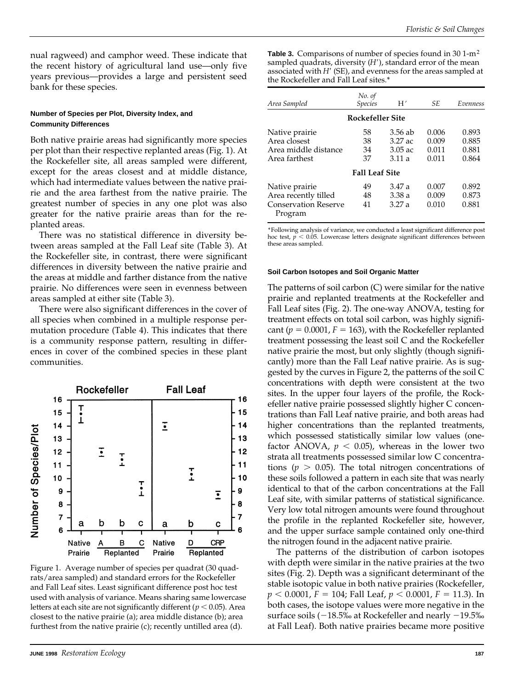nual ragweed) and camphor weed. These indicate that the recent history of agricultural land use—only five years previous—provides a large and persistent seed bank for these species.

#### **Number of Species per Plot, Diversity Index, and Community Differences**

Both native prairie areas had significantly more species per plot than their respective replanted areas (Fig. 1). At the Rockefeller site, all areas sampled were different, except for the areas closest and at middle distance, which had intermediate values between the native prairie and the area farthest from the native prairie. The greatest number of species in any one plot was also greater for the native prairie areas than for the replanted areas.

There was no statistical difference in diversity between areas sampled at the Fall Leaf site (Table 3). At the Rockefeller site, in contrast, there were significant differences in diversity between the native prairie and the areas at middle and farther distance from the native prairie. No differences were seen in evenness between areas sampled at either site (Table 3).

There were also significant differences in the cover of all species when combined in a multiple response permutation procedure (Table 4). This indicates that there is a community response pattern, resulting in differences in cover of the combined species in these plant communities.



Figure 1. Average number of species per quadrat (30 quadrats/area sampled) and standard errors for the Rockefeller and Fall Leaf sites. Least significant difference post hoc test used with analysis of variance. Means sharing same lowercase letters at each site are not significantly different ( $p < 0.05$ ). Area closest to the native prairie (a); area middle distance (b); area furthest from the native prairie (c); recently untilled area (d).

Table 3. Comparisons of number of species found in 30 1-m<sup>2</sup> sampled quadrats, diversity (*H'*), standard error of the mean associated with *H'* (SE), and evenness for the areas sampled at the Rockefeller and Fall Leaf sites.\*

| Area Sampled                                                              | No. of<br><i>Species</i> | H′                                           | SE.                              | Evenness                         |
|---------------------------------------------------------------------------|--------------------------|----------------------------------------------|----------------------------------|----------------------------------|
|                                                                           | Rockefeller Site         |                                              |                                  |                                  |
| Native prairie<br>Area closest<br>Area middle distance<br>Area farthest   | 58<br>38<br>34<br>37     | $3.56$ ab<br>$3.27$ ac<br>$3.05$ ac<br>3.11a | 0.006<br>0.009<br>0.011<br>0.011 | 0.893<br>0.885<br>0.881<br>0.864 |
|                                                                           | <b>Fall Leaf Site</b>    |                                              |                                  |                                  |
| Native prairie<br>Area recently tilled<br>Conservation Reserve<br>Program | 49<br>48<br>41           | 3.47a<br>3.38a<br>3.27a                      | 0.007<br>0.009<br>0.010          | 0.892<br>0.873<br>0.881          |

\*Following analysis of variance, we conducted a least significant difference post hoc test,  $p < 0.05$ . Lowercase letters designate significant differences between these areas sampled.

#### **Soil Carbon Isotopes and Soil Organic Matter**

The patterns of soil carbon (C) were similar for the native prairie and replanted treatments at the Rockefeller and Fall Leaf sites (Fig. 2). The one-way ANOVA, testing for treatment effects on total soil carbon, was highly significant ( $p = 0.0001$ ,  $F = 163$ ), with the Rockefeller replanted treatment possessing the least soil C and the Rockefeller native prairie the most, but only slightly (though significantly) more than the Fall Leaf native prairie. As is suggested by the curves in Figure 2, the patterns of the soil C concentrations with depth were consistent at the two sites. In the upper four layers of the profile, the Rockefeller native prairie possessed slightly higher C concentrations than Fall Leaf native prairie, and both areas had higher concentrations than the replanted treatments, which possessed statistically similar low values (onefactor ANOVA,  $p < 0.05$ ), whereas in the lower two strata all treatments possessed similar low C concentrations ( $p > 0.05$ ). The total nitrogen concentrations of these soils followed a pattern in each site that was nearly identical to that of the carbon concentrations at the Fall Leaf site, with similar patterns of statistical significance. Very low total nitrogen amounts were found throughout the profile in the replanted Rockefeller site, however, and the upper surface sample contained only one-third the nitrogen found in the adjacent native prairie.

The patterns of the distribution of carbon isotopes with depth were similar in the native prairies at the two sites (Fig. 2). Depth was a significant determinant of the stable isotopic value in both native prairies (Rockefeller,  $p < 0.0001$ ,  $F = 104$ ; Fall Leaf,  $p < 0.0001$ ,  $F = 11.3$ ). In both cases, the isotope values were more negative in the surface soils ( $-18.5\%$  at Rockefeller and nearly  $-19.5\%$ at Fall Leaf). Both native prairies became more positive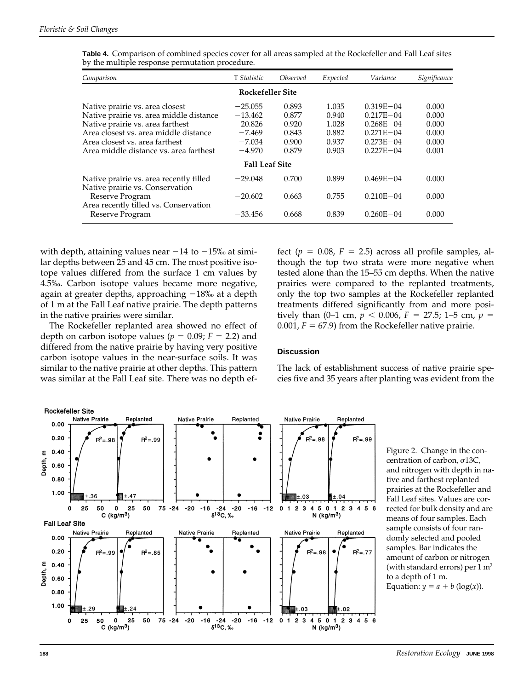| Comparison                                                                                                                                                                                                                          | T Statistic                                                             | Observed                                           | Expected                                           | Variance                                                                                           | Significance                                       |
|-------------------------------------------------------------------------------------------------------------------------------------------------------------------------------------------------------------------------------------|-------------------------------------------------------------------------|----------------------------------------------------|----------------------------------------------------|----------------------------------------------------------------------------------------------------|----------------------------------------------------|
|                                                                                                                                                                                                                                     | Rockefeller Site                                                        |                                                    |                                                    |                                                                                                    |                                                    |
| Native prairie vs. area closest<br>Native prairie vs. area middle distance<br>Native prairie vs. area farthest<br>Area closest vs. area middle distance<br>Area closest vs. area farthest<br>Area middle distance vs. area farthest | $-25.055$<br>$-13.462$<br>$-20.826$<br>$-7.469$<br>$-7.034$<br>$-4.970$ | 0.893<br>0.877<br>0.920<br>0.843<br>0.900<br>0.879 | 1.035<br>0.940<br>1.028<br>0.882<br>0.937<br>0.903 | $0.319E - 04$<br>$0.217E - 04$<br>$0.268E - 04$<br>$0.271E - 04$<br>$0.273E - 04$<br>$0.227E - 04$ | 0.000<br>0.000<br>0.000<br>0.000<br>0.000<br>0.001 |
|                                                                                                                                                                                                                                     | <b>Fall Leaf Site</b>                                                   |                                                    |                                                    |                                                                                                    |                                                    |
| Native prairie vs. area recently tilled<br>Native prairie vs. Conservation                                                                                                                                                          | $-29.048$                                                               | 0.700                                              | 0.899                                              | $0.469E - 04$                                                                                      | 0.000                                              |
| Reserve Program<br>Area recently tilled vs. Conservation                                                                                                                                                                            | $-20.602$                                                               | 0.663                                              | 0.755                                              | $0.210E - 04$                                                                                      | 0.000                                              |
| Reserve Program                                                                                                                                                                                                                     | $-33.456$                                                               | 0.668                                              | 0.839                                              | $0.260E - 04$                                                                                      | 0.000                                              |

**Table 4.** Comparison of combined species cover for all areas sampled at the Rockefeller and Fall Leaf sites by the multiple response permutation procedure.

with depth, attaining values near  $-14$  to  $-15%$  at similar depths between 25 and 45 cm. The most positive isotope values differed from the surface 1 cm values by 4.5‰. Carbon isotope values became more negative, again at greater depths, approaching  $-18\%$  at a depth of 1 m at the Fall Leaf native prairie. The depth patterns in the native prairies were similar.

The Rockefeller replanted area showed no effect of depth on carbon isotope values ( $p = 0.09$ ;  $F = 2.2$ ) and differed from the native prairie by having very positive carbon isotope values in the near-surface soils. It was similar to the native prairie at other depths. This pattern was similar at the Fall Leaf site. There was no depth effect ( $p = 0.08$ ,  $F = 2.5$ ) across all profile samples, although the top two strata were more negative when tested alone than the 15–55 cm depths. When the native prairies were compared to the replanted treatments, only the top two samples at the Rockefeller replanted treatments differed significantly from and more positively than (0–1 cm,  $p < 0.006$ ,  $F = 27.5$ ; 1–5 cm,  $p =$ 0.001,  $F = 67.9$ ) from the Rockefeller native prairie.

#### **Discussion**

The lack of establishment success of native prairie species five and 35 years after planting was evident from the



Figure 2. Change in the concentration of carbon,  $\sigma$ 13C, and nitrogen with depth in native and farthest replanted prairies at the Rockefeller and Fall Leaf sites. Values are corrected for bulk density and are means of four samples. Each sample consists of four randomly selected and pooled samples. Bar indicates the amount of carbon or nitrogen (with standard errors) per 1 m2 to a depth of 1 m. Equation:  $y = a + b$  (log(*x*)).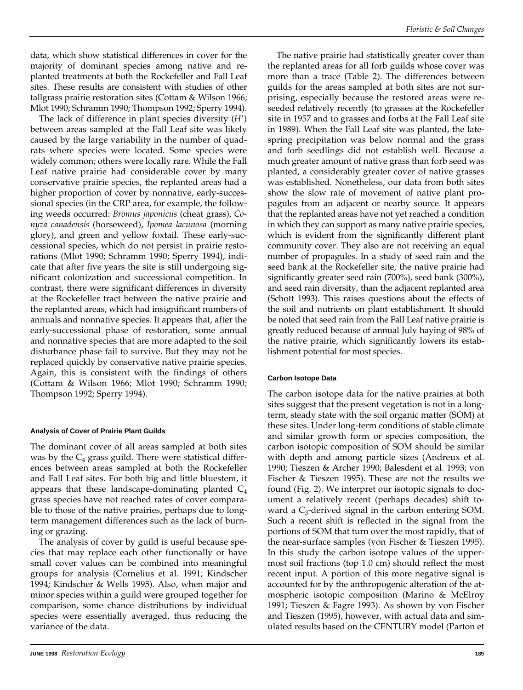data, which show statistical differences in cover for the majority of dominant species among native and replanted treatments at both the Rockefeller and Fall Leaf sites. These results are consistent with studies of other tallgrass prairie restoration sites (Cottam & Wilson 1966; Mlot 1990; Schramm 1990; Thompson 1992; Sperry 1994).

The lack of difference in plant species diversity  $(H')$ between areas sampled at the Fall Leaf site was likely caused by the large variability in the number of quadrats where species were located. Some species were widely common; others were locally rare. While the Fall Leaf native prairie had considerable cover by many conservative prairie species, the replanted areas had a higher proportion of cover by nonnative, early-successional species (in the CRP area, for example, the following weeds occurred: *Bromus japonicus* (cheat grass), *Conyza canadensis* (horseweed), *Ipomea lacunosa* (morning glory), and green and yellow foxtail. These early-successional species, which do not persist in prairie restorations (Mlot 1990; Schramm 1990; Sperry 1994), indicate that after five years the site is still undergoing significant colonization and successional competition. In contrast, there were significant differences in diversity at the Rockefeller tract between the native prairie and the replanted areas, which had insignificant numbers of annuals and nonnative species. It appears that, after the early-successional phase of restoration, some annual and nonnative species that are more adapted to the soil disturbance phase fail to survive. But they may not be replaced quickly by conservative native prairie species. Again, this is consistent with the findings of others (Cottam & Wilson 1966; Mlot 1990; Schramm 1990; Thompson 1992; Sperry 1994).

#### **Analysis of Cover of Prairie Plant Guilds**

The dominant cover of all areas sampled at both sites was by the  $C_4$  grass guild. There were statistical differences between areas sampled at both the Rockefeller and Fall Leaf sites. For both big and little bluestem, it appears that these landscape-dominating planted  $C_4$ grass species have not reached rates of cover comparable to those of the native prairies, perhaps due to longterm management differences such as the lack of burning or grazing.

The analysis of cover by guild is useful because species that may replace each other functionally or have small cover values can be combined into meaningful groups for analysis (Cornelius et al. 1991; Kindscher 1994; Kindscher & Wells 1995). Also, when major and minor species within a guild were grouped together for comparison, some chance distributions by individual species were essentially averaged, thus reducing the variance of the data.

The native prairie had statistically greater cover than the replanted areas for all forb guilds whose cover was more than a trace (Table 2). The differences between guilds for the areas sampled at both sites are not surprising, especially because the restored areas were reseeded relatively recently (to grasses at the Rockefeller site in 1957 and to grasses and forbs at the Fall Leaf site in 1989). When the Fall Leaf site was planted, the latespring precipitation was below normal and the grass and forb seedlings did not establish well. Because a much greater amount of native grass than forb seed was planted, a considerably greater cover of native grasses was established. Nonetheless, our data from both sites show the slow rate of movement of native plant propagules from an adjacent or nearby source. It appears that the replanted areas have not yet reached a condition in which they can support as many native prairie species, which is evident from the significantly different plant community cover. They also are not receiving an equal number of propagules. In a study of seed rain and the seed bank at the Rockefeller site, the native prairie had significantly greater seed rain (700%), seed bank (300%), and seed rain diversity, than the adjacent replanted area (Schott 1993). This raises questions about the effects of the soil and nutrients on plant establishment. It should be noted that seed rain from the Fall Leaf native prairie is greatly reduced because of annual July haying of 98% of the native prairie, which significantly lowers its establishment potential for most species.

#### **Carbon Isotope Data**

The carbon isotope data for the native prairies at both sites suggest that the present vegetation is not in a longterm, steady state with the soil organic matter (SOM) at these sites. Under long-term conditions of stable climate and similar growth form or species composition, the carbon isotopic composition of SOM should be similar with depth and among particle sizes (Andreux et al. 1990; Tieszen & Archer 1990; Balesdent et al. 1993; von Fischer & Tieszen 1995). These are not the results we found (Fig. 2). We interpret our isotopic signals to document a relatively recent (perhaps decades) shift toward a  $C_3$ -derived signal in the carbon entering SOM. Such a recent shift is reflected in the signal from the portions of SOM that turn over the most rapidly, that of the near-surface samples (von Fischer & Tieszen 1995). In this study the carbon isotope values of the uppermost soil fractions (top 1.0 cm) should reflect the most recent input. A portion of this more negative signal is accounted for by the anthropogenic alteration of the atmospheric isotopic composition (Marino & McElroy 1991; Tieszen & Fagre 1993). As shown by von Fischer and Tieszen (1995), however, with actual data and simulated results based on the CENTURY model (Parton et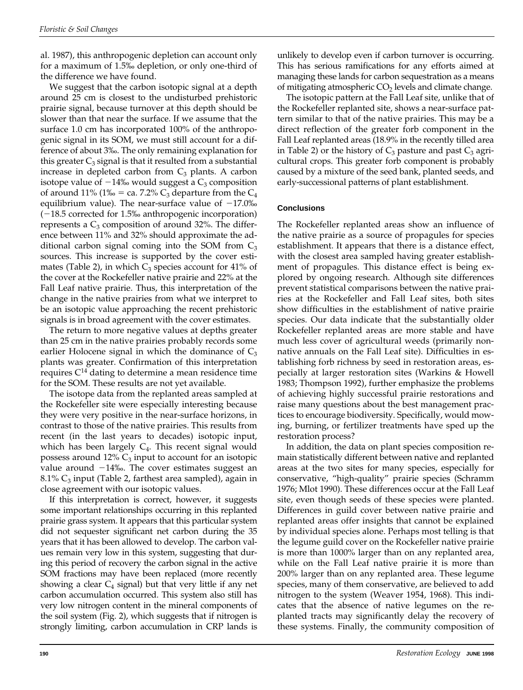al. 1987), this anthropogenic depletion can account only for a maximum of 1.5‰ depletion, or only one-third of the difference we have found.

We suggest that the carbon isotopic signal at a depth around 25 cm is closest to the undisturbed prehistoric prairie signal, because turnover at this depth should be slower than that near the surface. If we assume that the surface 1.0 cm has incorporated 100% of the anthropogenic signal in its SOM, we must still account for a difference of about 3‰. The only remaining explanation for this greater  $C_3$  signal is that it resulted from a substantial increase in depleted carbon from  $C_3$  plants. A carbon isotope value of  $-14\%$  would suggest a C<sub>3</sub> composition of around 11% (1‰ = ca. 7.2%  $C_3$  departure from the  $C_4$ equilibrium value). The near-surface value of  $-17.0\%$  $(-18.5$  corrected for 1.5‰ anthropogenic incorporation) represents a  $C_3$  composition of around 32%. The difference between 11% and 32% should approximate the additional carbon signal coming into the SOM from  $C_3$ sources. This increase is supported by the cover estimates (Table 2), in which  $C_3$  species account for 41% of the cover at the Rockefeller native prairie and 22% at the Fall Leaf native prairie. Thus, this interpretation of the change in the native prairies from what we interpret to be an isotopic value approaching the recent prehistoric signals is in broad agreement with the cover estimates.

The return to more negative values at depths greater than 25 cm in the native prairies probably records some earlier Holocene signal in which the dominance of  $C_3$ plants was greater. Confirmation of this interpretation requires  $C<sup>14</sup>$  dating to determine a mean residence time for the SOM. These results are not yet available.

The isotope data from the replanted areas sampled at the Rockefeller site were especially interesting because they were very positive in the near-surface horizons, in contrast to those of the native prairies. This results from recent (in the last years to decades) isotopic input, which has been largely  $C_4$ . This recent signal would possess around 12%  $C_3$  input to account for an isotopic value around  $-14\%$ . The cover estimates suggest an 8.1%  $C_3$  input (Table 2, farthest area sampled), again in close agreement with our isotopic values.

If this interpretation is correct, however, it suggests some important relationships occurring in this replanted prairie grass system. It appears that this particular system did not sequester significant net carbon during the 35 years that it has been allowed to develop. The carbon values remain very low in this system, suggesting that during this period of recovery the carbon signal in the active SOM fractions may have been replaced (more recently showing a clear  $C_4$  signal) but that very little if any net carbon accumulation occurred. This system also still has very low nitrogen content in the mineral components of the soil system (Fig. 2), which suggests that if nitrogen is strongly limiting, carbon accumulation in CRP lands is unlikely to develop even if carbon turnover is occurring. This has serious ramifications for any efforts aimed at managing these lands for carbon sequestration as a means of mitigating atmospheric  $CO<sub>2</sub>$  levels and climate change.

The isotopic pattern at the Fall Leaf site, unlike that of the Rockefeller replanted site, shows a near-surface pattern similar to that of the native prairies. This may be a direct reflection of the greater forb component in the Fall Leaf replanted areas (18.9% in the recently tilled area in Table 2) or the history of  $C_3$  pasture and past  $C_3$  agricultural crops. This greater forb component is probably caused by a mixture of the seed bank, planted seeds, and early-successional patterns of plant establishment.

#### **Conclusions**

The Rockefeller replanted areas show an influence of the native prairie as a source of propagules for species establishment. It appears that there is a distance effect, with the closest area sampled having greater establishment of propagules. This distance effect is being explored by ongoing research. Although site differences prevent statistical comparisons between the native prairies at the Rockefeller and Fall Leaf sites, both sites show difficulties in the establishment of native prairie species. Our data indicate that the substantially older Rockefeller replanted areas are more stable and have much less cover of agricultural weeds (primarily nonnative annuals on the Fall Leaf site). Difficulties in establishing forb richness by seed in restoration areas, especially at larger restoration sites (Warkins & Howell 1983; Thompson 1992), further emphasize the problems of achieving highly successful prairie restorations and raise many questions about the best management practices to encourage biodiversity. Specifically, would mowing, burning, or fertilizer treatments have sped up the restoration process?

In addition, the data on plant species composition remain statistically different between native and replanted areas at the two sites for many species, especially for conservative, "high-quality" prairie species (Schramm 1976; Mlot 1990). These differences occur at the Fall Leaf site, even though seeds of these species were planted. Differences in guild cover between native prairie and replanted areas offer insights that cannot be explained by individual species alone. Perhaps most telling is that the legume guild cover on the Rockefeller native prairie is more than 1000% larger than on any replanted area, while on the Fall Leaf native prairie it is more than 200% larger than on any replanted area. These legume species, many of them conservative, are believed to add nitrogen to the system (Weaver 1954, 1968). This indicates that the absence of native legumes on the replanted tracts may significantly delay the recovery of these systems. Finally, the community composition of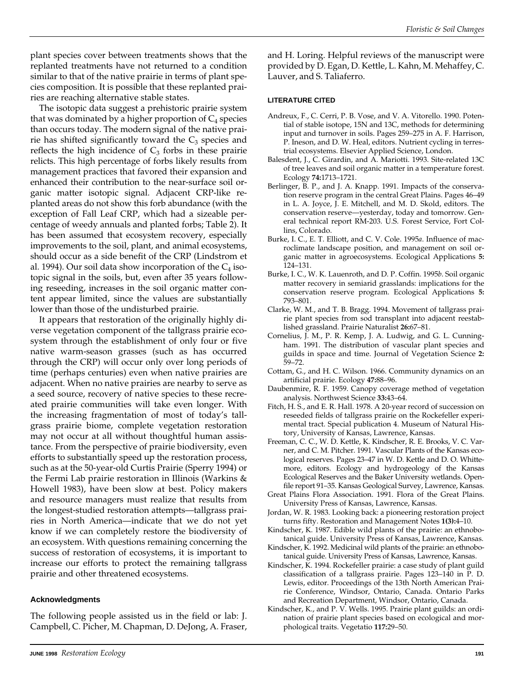plant species cover between treatments shows that the replanted treatments have not returned to a condition similar to that of the native prairie in terms of plant species composition. It is possible that these replanted prairies are reaching alternative stable states.

The isotopic data suggest a prehistoric prairie system that was dominated by a higher proportion of  $C_4$  species than occurs today. The modern signal of the native prairie has shifted significantly toward the  $C_3$  species and reflects the high incidence of  $C_3$  forbs in these prairie relicts. This high percentage of forbs likely results from management practices that favored their expansion and enhanced their contribution to the near-surface soil organic matter isotopic signal. Adjacent CRP-like replanted areas do not show this forb abundance (with the exception of Fall Leaf CRP, which had a sizeable percentage of weedy annuals and planted forbs; Table 2). It has been assumed that ecosystem recovery, especially improvements to the soil, plant, and animal ecosystems, should occur as a side benefit of the CRP (Lindstrom et al. 1994). Our soil data show incorporation of the  $C_4$  isotopic signal in the soils, but, even after 35 years following reseeding, increases in the soil organic matter content appear limited, since the values are substantially lower than those of the undisturbed prairie.

It appears that restoration of the originally highly diverse vegetation component of the tallgrass prairie ecosystem through the establishment of only four or five native warm-season grasses (such as has occurred through the CRP) will occur only over long periods of time (perhaps centuries) even when native prairies are adjacent. When no native prairies are nearby to serve as a seed source, recovery of native species to these recreated prairie communities will take even longer. With the increasing fragmentation of most of today's tallgrass prairie biome, complete vegetation restoration may not occur at all without thoughtful human assistance. From the perspective of prairie biodiversity, even efforts to substantially speed up the restoration process, such as at the 50-year-old Curtis Prairie (Sperry 1994) or the Fermi Lab prairie restoration in Illinois (Warkins & Howell 1983), have been slow at best. Policy makers and resource managers must realize that results from the longest-studied restoration attempts—tallgrass prairies in North America—indicate that we do not yet know if we can completely restore the biodiversity of an ecosystem. With questions remaining concerning the success of restoration of ecosystems, it is important to increase our efforts to protect the remaining tallgrass prairie and other threatened ecosystems.

#### **Acknowledgments**

The following people assisted us in the field or lab: J. Campbell, C. Picher, M. Chapman, D. DeJong, A. Fraser, and H. Loring. Helpful reviews of the manuscript were provided by D. Egan, D. Kettle, L. Kahn, M. Mehaffey, C. Lauver, and S. Taliaferro.

#### **LITERATURE CITED**

- Andreux, F., C. Cerri, P. B. Vose, and V. A. Vitorello. 1990. Potential of stable isotope, 15N and 13C, methods for determining input and turnover in soils. Pages 259–275 in A. F. Harrison, P. Ineson, and D. W. Heal, editors. Nutrient cycling in terrestrial ecosystems. Elsevier Applied Science, London.
- Balesdent, J., C. Girardin, and A. Mariotti. 1993. Site-related 13C of tree leaves and soil organic matter in a temperature forest. Ecology **74:**1713–1721.
- Berlinger, B. P., and J. A. Knapp. 1991. Impacts of the conservation reserve program in the central Great Plains. Pages 46–49 in L. A. Joyce, J. E. Mitchell, and M. D. Skold, editors. The conservation reserve—yesterday, today and tomorrow. General technical report RM-203. U.S. Forest Service, Fort Collins, Colorado.
- Burke, I. C., E. T. Elliott, and C. V. Cole. 1995*a*. Influence of macroclimate landscape position, and management on soil organic matter in agroecosystems. Ecological Applications **5:** 124–131.
- Burke, I. C., W. K. Lauenroth, and D. P. Coffin. 1995*b*. Soil organic matter recovery in semiarid grasslands: implications for the conservation reserve program. Ecological Applications **5:** 793–801.
- Clarke, W. M., and T. B. Bragg. 1994. Movement of tallgrass prairie plant species from sod transplant into adjacent reestablished grassland. Prairie Naturalist **26:**67–81.
- Cornelius, J. M., P. R. Kemp, J. A. Ludwig, and G. L. Cunningham. 1991. The distribution of vascular plant species and guilds in space and time. Journal of Vegetation Science **2:** 59–72.
- Cottam, G., and H. C. Wilson. 1966. Community dynamics on an artificial prairie. Ecology **47:**88–96.
- Daubenmire, R. F. 1959. Canopy coverage method of vegetation analysis. Northwest Science **33:**43–64.
- Fitch, H. S., and E. R. Hall. 1978. A 20-year record of succession on reseeded fields of tallgrass prairie on the Rockefeller experimental tract. Special publication 4. Museum of Natural History, University of Kansas, Lawrence, Kansas.
- Freeman, C. C., W. D. Kettle, K. Kindscher, R. E. Brooks, V. C. Varner, and C. M. Pitcher. 1991. Vascular Plants of the Kansas ecological reserves. Pages 23–47 in W. D. Kettle and D. O. Whittemore, editors. Ecology and hydrogeology of the Kansas Ecological Reserves and the Baker University wetlands. Openfile report 91–35. Kansas Geological Survey, Lawrence, Kansas.
- Great Plains Flora Association. 1991. Flora of the Great Plains. University Press of Kansas, Lawrence, Kansas.
- Jordan, W. R. 1983. Looking back: a pioneering restoration project turns fifty. Restoration and Management Notes **1(3):**4–10.
- Kindscher, K. 1987. Edible wild plants of the prairie: an ethnobotanical guide. University Press of Kansas, Lawrence, Kansas.
- Kindscher, K. 1992. Medicinal wild plants of the prairie: an ethnobotanical guide. University Press of Kansas, Lawrence, Kansas.
- Kindscher, K. 1994. Rockefeller prairie: a case study of plant guild classification of a tallgrass prairie. Pages 123–140 in P. D. Lewis, editor. Proceedings of the 13th North American Prairie Conference, Windsor, Ontario, Canada. Ontario Parks and Recreation Department, Windsor, Ontario, Canada.
- Kindscher, K., and P. V. Wells. 1995. Prairie plant guilds: an ordination of prairie plant species based on ecological and morphological traits. Vegetatio **117:**29–50.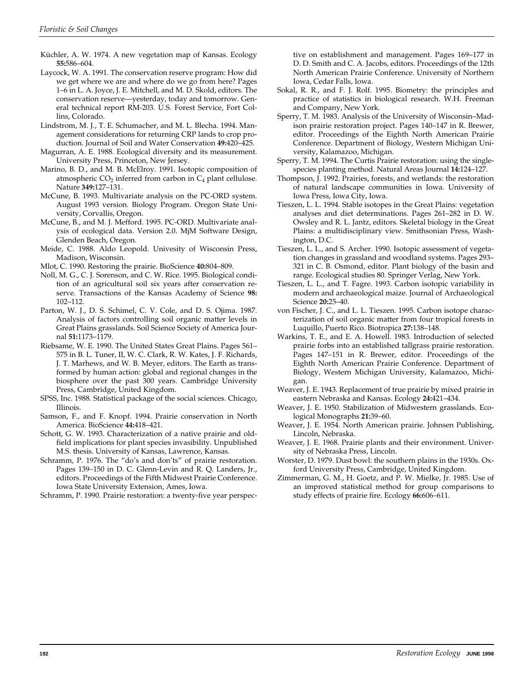- Küchler, A. W. 1974. A new vegetation map of Kansas. Ecology **55:**586–604.
- Laycock, W. A. 1991. The conservation reserve program: How did we get where we are and where do we go from here? Pages 1–6 in L. A. Joyce, J. E. Mitchell, and M. D. Skold, editors. The conservation reserve—yesterday, today and tomorrow. General technical report RM-203. U.S. Forest Service, Fort Collins, Colorado.
- Lindstrom, M. J., T. E. Schumacher, and M. L. Blecha. 1994. Management considerations for returning CRP lands to crop production. Journal of Soil and Water Conservation **49:**420–425.
- Magurran, A. E. 1988. Ecological diversity and its measurement. University Press, Princeton, New Jersey.
- Marino, B. D., and M. B. McElroy. 1991. Isotopic composition of atmospheric  $CO<sub>2</sub>$  inferred from carbon in  $C<sub>4</sub>$  plant cellulose. Nature **349:**127–131.
- McCune, B. 1993. Multivariate analysis on the PC-ORD system. August 1993 version. Biology Program. Oregon State University, Corvallis, Oregon.
- McCune, B., and M. J. Mefford. 1995. PC-ORD. Multivariate analysis of ecological data. Version 2.0. MjM Software Design, Glenden Beach, Oregon.
- Meide, C. 1988. Aldo Leopold. Univesity of Wisconsin Press, Madison, Wisconsin.

Mlot, C. 1990. Restoring the prairie. BioScience **40:**804–809.

- Noll, M. G., C. J. Sorenson, and C. W. Rice. 1995. Biological condition of an agricultural soil six years after conservation reserve. Transactions of the Kansas Academy of Science **98:** 102–112.
- Parton, W. J., D. S. Schimel, C. V. Cole, and D. S. Ojima. 1987. Analysis of factors controlling soil organic matter levels in Great Plains grasslands. Soil Science Society of America Journal **51:**1173–1179.
- Riebsame, W. E. 1990. The United States Great Plains. Pages 561– 575 in B. L. Tuner, II, W. C. Clark, R. W. Kates, J. F. Richards, J. T. Marhews, and W. B. Meyer, editors. The Earth as transformed by human action: global and regional changes in the biosphere over the past 300 years. Cambridge University Press, Cambridge, United Kingdom.
- SPSS, Inc. 1988. Statistical package of the social sciences. Chicago, Illinois.
- Samson, F., and F. Knopf. 1994. Prairie conservation in North America. BioScience **44:**418–421.
- Schott, G. W. 1993. Characterization of a native prairie and oldfield implications for plant species invasibility. Unpublished M.S. thesis. University of Kansas, Lawrence, Kansas.
- Schramm, P. 1976. The "do's and don'ts" of prairie restoration. Pages 139–150 in D. C. Glenn-Levin and R. Q. Landers, Jr., editors. Proceedings of the Fifth Midwest Prairie Conference. Iowa State University Extension, Ames, Iowa.
- Schramm, P. 1990. Prairie restoration: a twenty-five year perspec-

tive on establishment and management. Pages 169–177 in D. D. Smith and C. A. Jacobs, editors. Proceedings of the 12th North American Prairie Conference. University of Northern Iowa, Cedar Falls, Iowa.

- Sokal, R. R., and F. J. Rolf. 1995. Biometry: the principles and practice of statistics in biological research. W.H. Freeman and Company, New York.
- Sperry, T. M. 1983. Analysis of the University of Wisconsin–Madison prairie restoration project. Pages 140–147 in R. Brewer, editor. Proceedings of the Eighth North American Prairie Conference. Department of Biology, Western Michigan University, Kalamazoo, Michigan.
- Sperry, T. M. 1994. The Curtis Prairie restoration: using the singlespecies planting method. Natural Areas Journal **14:**124–127.
- Thompson, J. 1992. Prairies, forests, and wetlands: the restoration of natural landscape communities in Iowa. University of Iowa Press, Iowa City, Iowa.
- Tieszen, L. L. 1994. Stable isotopes in the Great Plains: vegetation analyses and diet determinations. Pages 261–282 in D. W. Owsley and R. L. Jantz, editors. Skeletal biology in the Great Plains: a multidisciplinary view. Smithsonian Press, Washington, D.C.
- Tieszen, L. L., and S. Archer. 1990. Isotopic assessment of vegetation changes in grassland and woodland systems. Pages 293– 321 in C. B. Osmond, editor. Plant biology of the basin and range. Ecological studies 80. Springer Verlag, New York.
- Tieszen, L. L., and T. Fagre. 1993. Carbon isotopic variability in modern and archaeological maize. Journal of Archaeological Science **20:**25–40.
- von Fischer, J. C., and L. L. Tieszen. 1995. Carbon isotope characterization of soil organic matter from four tropical forests in Luquillo, Puerto Rico. Biotropica **27:**138–148.
- Warkins, T. E., and E. A. Howell. 1983. Introduction of selected prairie forbs into an established tallgrass prairie restoration. Pages 147–151 in R. Brewer, editor. Proceedings of the Eighth North American Prairie Conference. Department of Biology, Western Michigan University, Kalamazoo, Michigan.
- Weaver, J. E. 1943. Replacement of true prairie by mixed prairie in eastern Nebraska and Kansas. Ecology **24:**421–434.
- Weaver, J. E. 1950. Stabilization of Midwestern grasslands. Ecological Monographs **21:**39–60.
- Weaver, J. E. 1954. North American prairie. Johnsen Publishing, Lincoln, Nebraska.
- Weaver, J. E. 1968. Prairie plants and their environment. University of Nebraska Press, Lincoln.
- Worster, D. 1979. Dust bowl: the southern plains in the 1930s. Oxford University Press, Cambridge, United Kingdom.
- Zimmerman, G. M., H. Goetz, and P. W. Mielke, Jr. 1985. Use of an improved statistical method for group comparisons to study effects of prairie fire. Ecology **66:**606–611.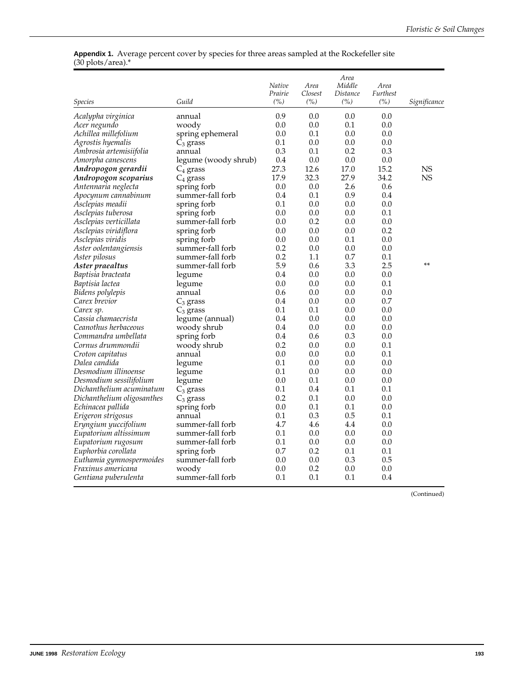#### **Appendix 1.** Average percent cover by species for three areas sampled at the Rockefeller site (30 plots/area).\*

| Species                    | Guild                          | Native<br>Prairie<br>(%) | Area<br>Closest<br>(%) | Area<br>Middle<br>Distance<br>(%) | Area<br><b>Furthest</b><br>(%) | Significance |
|----------------------------|--------------------------------|--------------------------|------------------------|-----------------------------------|--------------------------------|--------------|
| Acalypha virginica         | annual                         | 0.9                      | 0.0                    | 0.0                               | 0.0                            |              |
| Acer negundo               | woody                          | 0.0                      | 0.0                    | 0.1                               | 0.0                            |              |
| Achillea millefolium       | spring ephemeral               | 0.0                      | 0.1                    | 0.0                               | 0.0                            |              |
| Agrostis hyemalis          | $C_3$ grass                    | 0.1                      | 0.0                    | 0.0                               | 0.0                            |              |
| Ambrosia artemisiifolia    | annual                         | 0.3                      | 0.1                    | 0.2                               | 0.3                            |              |
| Amorpha canescens          | legume (woody shrub)           | 0.4                      | 0.0                    | 0.0                               | 0.0                            |              |
| Andropogon gerardii        | $C_4$ grass                    | 27.3                     | 12.6                   | 17.0                              | 15.2                           | NS           |
| Andropogon scoparius       | $C_4$ grass                    | 17.9                     | 32.3                   | 27.9                              | 34.2                           | <b>NS</b>    |
| Antennaria neglecta        | spring forb                    | 0.0                      | 0.0                    | 2.6                               | 0.6                            |              |
| Apocynum cannabinum        | summer-fall forb               | 0.4                      | 0.1                    | 0.9                               | 0.4                            |              |
| Asclepias meadii           | spring forb                    | $0.1\,$                  | 0.0                    | 0.0                               | 0.0                            |              |
| Asclepias tuberosa         | spring forb                    | 0.0                      | 0.0                    | 0.0                               | 0.1                            |              |
| Asclepias verticillata     | summer-fall forb               | $0.0\,$                  | 0.2                    | 0.0                               | 0.0                            |              |
| Asclepias viridiflora      | spring forb                    | $0.0\,$                  | 0.0                    | 0.0                               | 0.2                            |              |
| Asclepias viridis          | spring forb                    | $0.0\,$                  | 0.0                    | 0.1                               | 0.0                            |              |
| Aster oolentangiensis      | summer-fall forb               | 0.2                      | 0.0                    | 0.0                               | 0.0                            |              |
| Aster pilosus              | summer-fall forb               | 0.2                      | $1.1\,$                | 0.7                               | 0.1                            |              |
| Aster praealtus            | summer-fall forb               | 5.9                      | 0.6                    | 3.3                               | 2.5                            | **           |
| Baptisia bracteata         | legume                         | 0.4                      | 0.0                    | 0.0                               | 0.0                            |              |
| Baptisia lactea            | legume                         | 0.0                      | 0.0                    | 0.0                               | 0.1                            |              |
| Bidens polylepis           | annual                         | 0.6                      | 0.0                    | 0.0                               | 0.0                            |              |
| Carex brevior              |                                | 0.4                      | 0.0                    | 0.0                               | 0.7                            |              |
| Carex sp.                  | $C_3$ grass                    | 0.1                      | 0.1                    | 0.0                               | 0.0                            |              |
| Cassia chamaecrista        | $C_3$ grass                    | 0.4                      | 0.0                    | 0.0                               | 0.0                            |              |
| Ceanothus herbaceous       | legume (annual)<br>woody shrub | 0.4                      | 0.0                    | 0.0                               | 0.0                            |              |
| Commandra umbellata        | spring forb                    | 0.4                      | 0.6                    | 0.3                               | 0.0                            |              |
| Cornus drummondii          | woody shrub                    | 0.2                      | 0.0                    | 0.0                               | 0.1                            |              |
| Croton capitatus           | annual                         | 0.0                      | 0.0                    | 0.0                               | 0.1                            |              |
| Dalea candida              |                                | 0.1                      | 0.0                    | 0.0                               | 0.0                            |              |
| Desmodium illinoense       | legume                         | 0.1                      | 0.0                    | 0.0                               | 0.0                            |              |
| Desmodium sessilifolium    | legume                         | 0.0                      | 0.1                    | 0.0                               | 0.0                            |              |
| Dichanthelium acuminatum   | legume                         | 0.1                      | 0.4                    | 0.1                               | 0.1                            |              |
| Dichanthelium oligosanthes | $C_3$ grass<br>$C_3$ grass     | 0.2                      | 0.1                    | 0.0                               | 0.0                            |              |
| Echinacea pallida          | spring forb                    | 0.0                      | 0.1                    | 0.1                               | 0.0                            |              |
| Erigeron strigosus         | annual                         | 0.1                      | 0.3                    | 0.5                               | 0.1                            |              |
| Eryngium yuccifolium       | summer-fall forb               | 4.7                      | 4.6                    | 4.4                               | 0.0                            |              |
| Eupatorium altissimum      | summer-fall forb               | $0.1\,$                  | 0.0                    | 0.0                               | 0.0                            |              |
| Eupatorium rugosum         | summer-fall forb               | 0.1                      | 0.0                    | 0.0                               | 0.0                            |              |
| Euphorbia corollata        | spring forb                    | 0.7                      | 0.2                    | 0.1                               | 0.1                            |              |
| Euthamia gymnospermoides   | summer-fall forb               | 0.0                      | 0.0                    | 0.3                               | 0.5                            |              |
| <i>Fraxinus americana</i>  | woody                          | 0.0                      | 0.2                    | 0.0                               | 0.0                            |              |
| Gentiana puberulenta       | summer-fall forb               | $0.1\,$                  | $0.1\,$                | 0.1                               | 0.4                            |              |
|                            |                                |                          |                        |                                   |                                |              |

(Continued)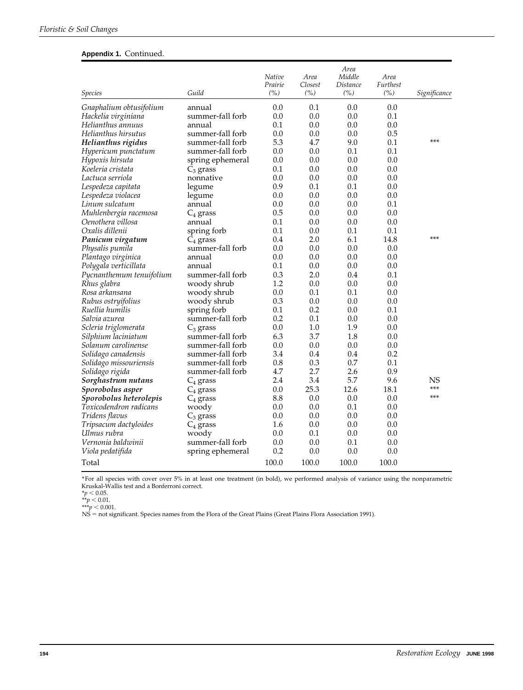#### **Appendix 1.** Continued.

| <i>Species</i>           | Guild            | Native<br>Prairie<br>(%) | Area<br>Closest<br>(%) | Area<br>Middle<br>Distance<br>(%) | Area<br>Furthest<br>(%) | Significance |
|--------------------------|------------------|--------------------------|------------------------|-----------------------------------|-------------------------|--------------|
| Gnaphalium obtusifolium  | annual           | 0.0                      | 0.1                    | 0.0                               | 0.0                     |              |
| Hackelia virginiana      | summer-fall forb | 0.0                      | 0.0                    | 0.0                               | 0.1                     |              |
| Helianthus annuus        | annual           | 0.1                      | 0.0                    | 0.0                               | 0.0                     |              |
| Helianthus hirsutus      | summer-fall forb | 0.0                      | 0.0                    | 0.0                               | 0.5                     |              |
| Helianthus rigidus       | summer-fall forb | 5.3                      | 4.7                    | 9.0                               | 0.1                     | ***          |
| Hypericum punctatum      | summer-fall forb | 0.0                      | 0.0                    | 0.1                               | 0.1                     |              |
| Hypoxis hirsuta          | spring ephemeral | 0.0                      | 0.0                    | 0.0                               | 0.0                     |              |
| Koeleria cristata        | $C_3$ grass      | 0.1                      | 0.0                    | 0.0                               | 0.0                     |              |
| Lactuca serriola         | nonnative        | 0.0                      | 0.0                    | 0.0                               | 0.0                     |              |
| Lespedeza capitata       | legume           | 0.9                      | 0.1                    | 0.1                               | 0.0                     |              |
| Lespedeza violacea       | legume           | 0.0                      | 0.0                    | 0.0                               | 0.0                     |              |
| Linum sulcatum           | annual           | 0.0                      | 0.0                    | 0.0                               | 0.1                     |              |
| Muhlenbergia racemosa    | $C_4$ grass      | 0.5                      | 0.0                    | 0.0                               | 0.0                     |              |
| Oenothera villosa        | annual           | 0.1                      | 0.0                    | 0.0                               | 0.0                     |              |
| Oxalis dillenii          | spring forb      | 0.1                      | 0.0                    | 0.1                               | $0.1\,$                 |              |
| Panicum virgatum         | $C_4$ grass      | 0.4                      | 2.0                    | 6.1                               | 14.8                    | ***          |
| Physalis pumila          | summer-fall forb | 0.0                      | 0.0                    | 0.0                               | 0.0                     |              |
| Plantago virginica       | annual           | 0.0                      | 0.0                    | 0.0                               | 0.0                     |              |
| Polygala verticillata    | annual           | 0.1                      | 0.0                    | 0.0                               | 0.0                     |              |
| Pycnanthemum tenuifolium | summer-fall forb | 0.3                      | 2.0                    | 0.4                               | 0.1                     |              |
| Rhus glabra              | woody shrub      | 1.2                      | 0.0                    | 0.0                               | 0.0                     |              |
| Rosa arkansana           | woody shrub      | 0.0                      | 0.1                    | 0.1                               | 0.0                     |              |
| Rubus ostryifolius       | woody shrub      | 0.3                      | 0.0                    | 0.0                               | 0.0                     |              |
| Ruellia humilis          | spring forb      | 0.1                      | 0.2                    | 0.0                               | 0.1                     |              |
| Salvia azurea            | summer-fall forb | 0.2                      | 0.1                    | 0.0                               | 0.0                     |              |
| Scleria triglomerata     | $C_3$ grass      | 0.0                      | 1.0                    | 1.9                               | 0.0                     |              |
| Silphium laciniatum      | summer-fall forb | 6.3                      | 3.7                    | 1.8                               | 0.0                     |              |
| Solanum carolinense      | summer-fall forb | 0.0                      | 0.0                    | 0.0                               | 0.0                     |              |
| Solidago canadensis      | summer-fall forb | 3.4                      | 0.4                    | 0.4                               | 0.2                     |              |
| Solidago missouriensis   | summer-fall forb | 0.8                      | 0.3                    | 0.7                               | 0.1                     |              |
| Solidago rigida          | summer-fall forb | 4.7                      | 2.7                    | 2.6                               | 0.9                     |              |
| Sorghastrum nutans       | $C_4$ grass      | 2.4                      | 3.4                    | 5.7                               | 9.6                     | NS           |
| Sporobolus asper         | $C_4$ grass      | 0.0                      | 25.3                   | 12.6                              | 18.1                    | ***          |
| Sporobolus heterolepis   | $C_4$ grass      | 8.8                      | 0.0                    | 0.0                               | 0.0                     | ***          |
| Toxicodendron radicans   | woody            | 0.0                      | 0.0                    | 0.1                               | 0.0                     |              |
| Tridens flavus           | $C_3$ grass      | 0.0                      | 0.0                    | 0.0                               | 0.0                     |              |
| Tripsacum dactyloides    | $C_4$ grass      | 1.6                      | 0.0                    | 0.0                               | 0.0                     |              |
| Ulmus rubra              | woody            | 0.0                      | 0.1                    | 0.0                               | 0.0                     |              |
| Vernonia baldwinii       | summer-fall forb | 0.0                      | 0.0                    | 0.1                               | 0.0                     |              |
| Viola pedatifida         | spring ephemeral | 0.2                      | 0.0                    | 0.0                               | 0.0                     |              |
| Total                    |                  | 100.0                    | 100.0                  | 100.0                             | 100.0                   |              |

\*For all species with cover over 5% in at least one treatment (in bold), we performed analysis of variance using the nonparametric Kruskal-Wallis test and a Bonferroni correct.<br>*\*p* < 0.05.

 $*$ *\*p*  $< 0.01$ .  $***p < 0.001$ .

NS = not significant. Species names from the Flora of the Great Plains (Great Plains Flora Association 1991).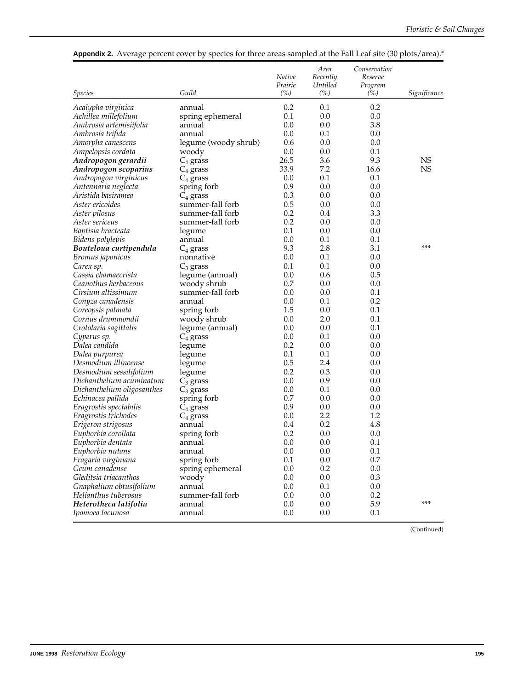|                            |                      | Native<br>Prairie | Area<br>Recently<br>Untilled | Conservation<br>Reserve<br>Program |              |
|----------------------------|----------------------|-------------------|------------------------------|------------------------------------|--------------|
| <i>Species</i>             | Guild                | (%)               | (%)                          | (%)                                | Significance |
| Acalypha virginica         | annual               | 0.2               | 0.1                          | 0.2                                |              |
| Achillea millefolium       | spring ephemeral     | 0.1               | 0.0                          | 0.0                                |              |
| Ambrosia artemisiifolia    | annual               | 0.0               | 0.0                          | 3.8                                |              |
| Ambrosia trifida           | annual               | 0.0               | 0.1                          | 0.0                                |              |
| Amorpha canescens          | legume (woody shrub) | 0.6               | 0.0                          | 0.0                                |              |
| Ampelopsis cordata         | woody                | 0.0               | 0.0                          | 0.1                                |              |
| Andropogon gerardii        | $C_4$ grass          | 26.5              | 3.6                          | 9.3                                | <b>NS</b>    |
| Andropogon scoparius       | $C_4$ grass          | 33.9              | 7.2                          | 16.6                               | <b>NS</b>    |
| Andropogon virginicus      | $C_4$ grass          | 0.0               | 0.1                          | 0.1                                |              |
| Antennaria neglecta        | spring forb          | 0.9               | 0.0                          | 0.0                                |              |
| Aristida basiramea         | $C_4$ grass          | 0.3               | 0.0                          | 0.0                                |              |
| Aster ericoides            | summer-fall forb     | 0.5               | 0.0                          | 0.0                                |              |
| Aster pilosus              | summer-fall forb     | 0.2               | 0.4                          | 3.3                                |              |
| Aster sericeus             | summer-fall forb     | 0.2               | 0.0                          | 0.0                                |              |
| Baptisia bracteata         | legume               | 0.1               | 0.0                          | 0.0                                |              |
| Bidens polylepis           | annual               | 0.0               | 0.1                          | 0.1                                |              |
| Bouteloua curtipendula     | $C_4$ grass          | 9.3               | 2.8                          | 3.1                                | ***          |
| <i>Bromus japonicus</i>    | nonnative            | 0.0               | 0.1                          | 0.0                                |              |
| Carex sp.                  | $C_3$ grass          | 0.1               | 0.1                          | 0.0                                |              |
| Cassia chamaecrista        | legume (annual)      | 0.0               | 0.6                          | 0.5                                |              |
| Ceanothus herbaceous       | woody shrub          | 0.7               | 0.0                          | 0.0                                |              |
| Cirsium altissimum         | summer-fall forb     | 0.0               | 0.0                          | 0.1                                |              |
| Conyza canadensis          | annual               | 0.0               | 0.1                          | 0.2                                |              |
| Coreopsis palmata          | spring forb          | 1.5               | 0.0                          | 0.1                                |              |
| Cornus drummondii          | woody shrub          | 0.0               | 2.0                          | 0.1                                |              |
| Crotolaria sagittalis      | legume (annual)      | 0.0               | 0.0                          | 0.1                                |              |
| Cyperus sp.                |                      | 0.0               | 0.1                          | 0.0                                |              |
| Dalea candida              | $C_4$ grass          | 0.2               | 0.0                          | 0.0                                |              |
|                            | legume               | 0.1               | 0.1                          | 0.0                                |              |
| Dalea purpurea             | legume               | 0.5               | 2.4                          | 0.0                                |              |
| Desmodium illinoense       | legume               | 0.2               | 0.3                          | 0.0                                |              |
| Desmodium sessilifolium    | legume               |                   |                              |                                    |              |
| Dichanthelium acuminatum   | $C_3$ grass          | 0.0<br>0.0        | 0.9<br>0.1                   | 0.0<br>0.0                         |              |
| Dichanthelium oligosanthes | $C_3$ grass          | 0.7               |                              |                                    |              |
| Echinacea pallida          | spring forb          |                   | 0.0                          | 0.0                                |              |
| Eragrostis spectabilis     | $C_4$ grass          | 0.9<br>0.0        | 0.0<br>2.2                   | 0.0<br>1.2                         |              |
| Eragrostis trichodes       | $C_4$ grass          |                   |                              |                                    |              |
| Erigeron strigosus         | annual               | 0.4               | 0.2                          | 4.8                                |              |
| Euphorbia corollata        | spring forb          | 0.2               | 0.0                          | 0.0                                |              |
| Euphorbia dentata          | annual               | 0.0               | 0.0                          | 0.1                                |              |
| Euphorbia nutans           | annual               | 0.0               | 0.0                          | 0.1                                |              |
| Fragaria virginiana        | spring forb          | 0.1               | 0.0                          | 0.7                                |              |
| Geum canadense             | spring ephemeral     | 0.0               | 0.2                          | 0.0                                |              |
| Gleditsia triacanthos      | woody                | 0.0               | 0.0                          | 0.3                                |              |
| Gnaphalium obtusifolium    | annual               | 0.0               | 0.1                          | 0.0                                |              |
| Helianthus tuberosus       | summer-fall forb     | 0.0               | 0.0                          | 0.2                                |              |
| Heterotheca latifolia      | annual               | 0.0               | 0.0                          | 5.9                                | ***          |
| Ipomoea lacunosa           | annual               | 0.0               | 0.0                          | 0.1                                |              |

### **Appendix 2.** Average percent cover by species for three areas sampled at the Fall Leaf site (30 plots/area).\*

(Continued)